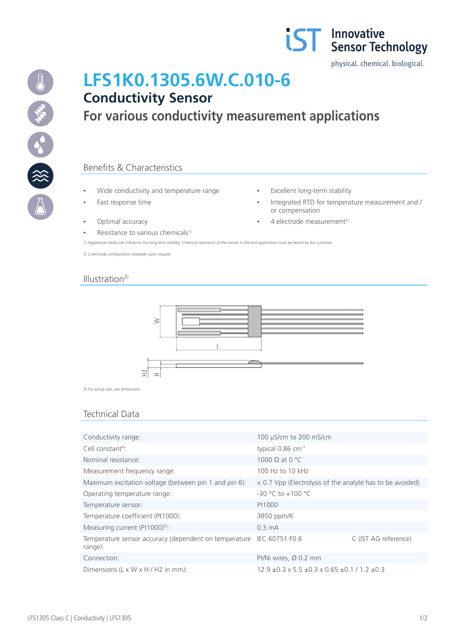



# **LFS1K0.1305.6W.C.010-6 Conductivity Sensor**

# **For various conductivity measurement applications**

# Benefits & Characteristics

- Wide conductivity and temperature range **· Fxcellent long-term stability**
- 
- 
- **Resistance to various chemicals<sup>1)</sup>**
- 
- Fast response time  $\qquad \qquad \bullet$  **Integrated RTD for temperature measurement and /** or compensation
- Optimal accuracy <br>■ 4 electrode measurement<sup>2)</sup>

1) Aggressive media can influence the long term stability. Chemical resistance of the sensor in the end application must be tested by the customer

2) 2 electrode configuration available upon request

### Illustration<sup>3)</sup>



3) For actual size, see dimensions

# Technical Data

| Conductivity range:                                              | 100 µS/cm to 200 mS/cm                                              |                      |
|------------------------------------------------------------------|---------------------------------------------------------------------|----------------------|
| Cell constant <sup>4)</sup> :                                    | typical $0.86$ cm <sup>-1</sup>                                     |                      |
| Nominal resistance:                                              | 1000 $\Omega$ at 0 °C                                               |                      |
| Measurement frequency range:                                     | 100 Hz to 10 kHz                                                    |                      |
| Maximum excitation voltage (between pin 1 and pin 6):            | $<$ 0.7 Vpp (Electrolysis of the analyte has to be avoided)         |                      |
| Operating temperature range:                                     | $-30$ °C to $+100$ °C                                               |                      |
| Temperature sensor:                                              | Pt1000                                                              |                      |
| Temperature coefficient (Pt1000):                                | 3850 ppm/K                                                          |                      |
| Measuring current (Pt1000) <sup>5)</sup> :                       | $0.3 \text{ mA}$                                                    |                      |
| Temperature sensor accuracy (dependent on temperature<br>range): | IEC 60751 F0.6                                                      | C (IST AG reference) |
| Connection:                                                      | Pt/Ni wires, Ø 0.2 mm                                               |                      |
| Dimensions (L x W x H / H2 in mm):                               | $12.9 \pm 0.3 \times 5.5 \pm 0.3 \times 0.65 \pm 0.1 / 1.2 \pm 0.3$ |                      |